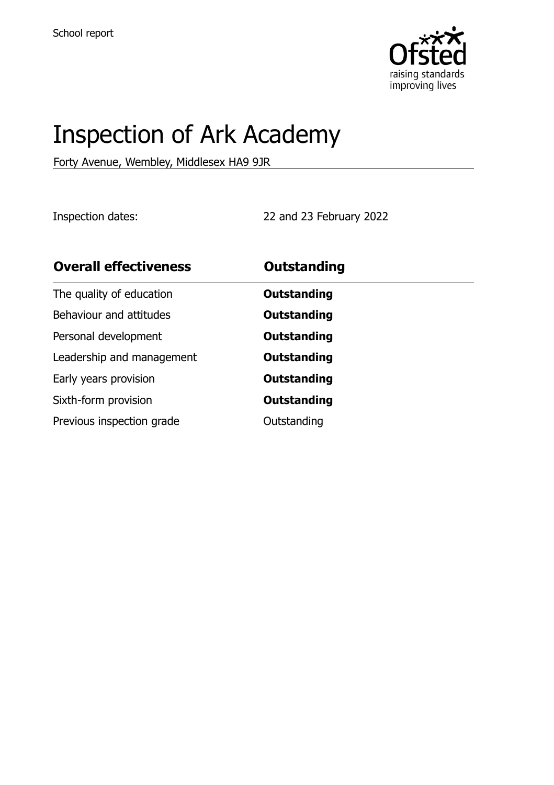

# Inspection of Ark Academy

Forty Avenue, Wembley, Middlesex HA9 9JR

Inspection dates: 22 and 23 February 2022

| <b>Overall effectiveness</b> | <b>Outstanding</b> |  |
|------------------------------|--------------------|--|
| The quality of education     | <b>Outstanding</b> |  |
| Behaviour and attitudes      | <b>Outstanding</b> |  |
| Personal development         | Outstanding        |  |
| Leadership and management    | <b>Outstanding</b> |  |
| Early years provision        | Outstanding        |  |
| Sixth-form provision         | <b>Outstanding</b> |  |
| Previous inspection grade    | Outstanding        |  |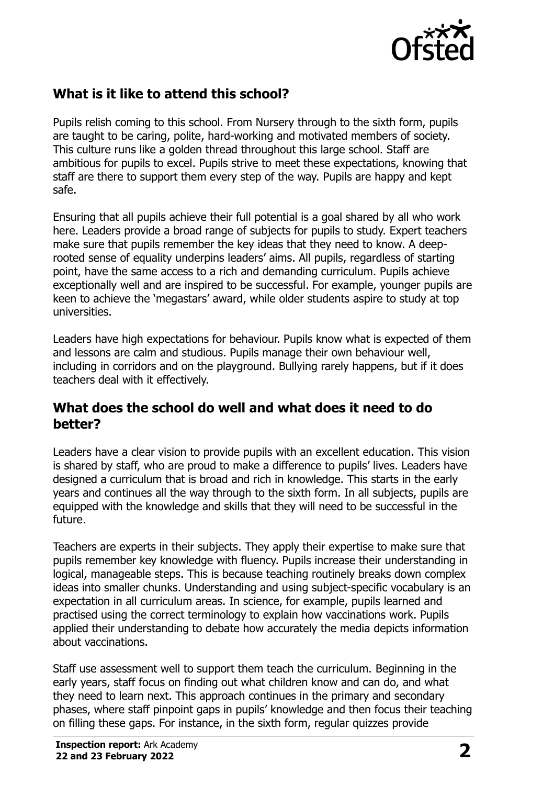

# **What is it like to attend this school?**

Pupils relish coming to this school. From Nursery through to the sixth form, pupils are taught to be caring, polite, hard-working and motivated members of society. This culture runs like a golden thread throughout this large school. Staff are ambitious for pupils to excel. Pupils strive to meet these expectations, knowing that staff are there to support them every step of the way. Pupils are happy and kept safe.

Ensuring that all pupils achieve their full potential is a goal shared by all who work here. Leaders provide a broad range of subjects for pupils to study. Expert teachers make sure that pupils remember the key ideas that they need to know. A deeprooted sense of equality underpins leaders' aims. All pupils, regardless of starting point, have the same access to a rich and demanding curriculum. Pupils achieve exceptionally well and are inspired to be successful. For example, younger pupils are keen to achieve the 'megastars' award, while older students aspire to study at top universities.

Leaders have high expectations for behaviour. Pupils know what is expected of them and lessons are calm and studious. Pupils manage their own behaviour well, including in corridors and on the playground. Bullying rarely happens, but if it does teachers deal with it effectively.

### **What does the school do well and what does it need to do better?**

Leaders have a clear vision to provide pupils with an excellent education. This vision is shared by staff, who are proud to make a difference to pupils' lives. Leaders have designed a curriculum that is broad and rich in knowledge. This starts in the early years and continues all the way through to the sixth form. In all subjects, pupils are equipped with the knowledge and skills that they will need to be successful in the future.

Teachers are experts in their subjects. They apply their expertise to make sure that pupils remember key knowledge with fluency. Pupils increase their understanding in logical, manageable steps. This is because teaching routinely breaks down complex ideas into smaller chunks. Understanding and using subject-specific vocabulary is an expectation in all curriculum areas. In science, for example, pupils learned and practised using the correct terminology to explain how vaccinations work. Pupils applied their understanding to debate how accurately the media depicts information about vaccinations.

Staff use assessment well to support them teach the curriculum. Beginning in the early years, staff focus on finding out what children know and can do, and what they need to learn next. This approach continues in the primary and secondary phases, where staff pinpoint gaps in pupils' knowledge and then focus their teaching on filling these gaps. For instance, in the sixth form, regular quizzes provide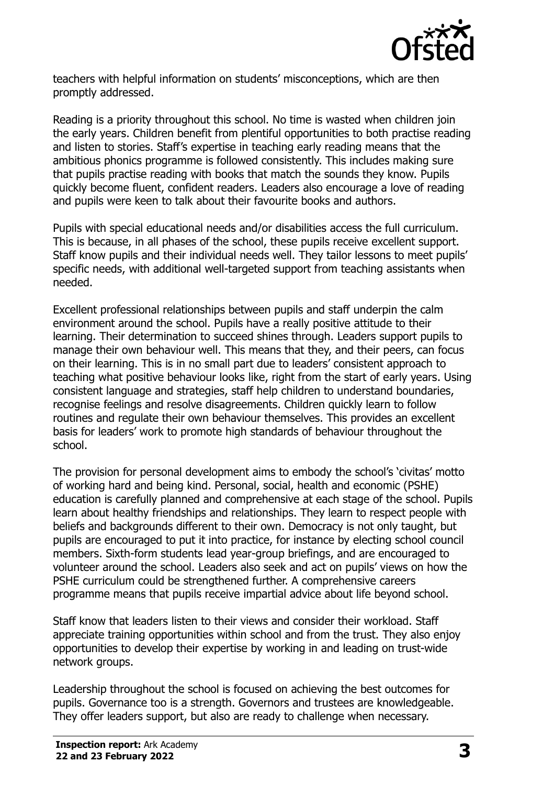

teachers with helpful information on students' misconceptions, which are then promptly addressed.

Reading is a priority throughout this school. No time is wasted when children join the early years. Children benefit from plentiful opportunities to both practise reading and listen to stories. Staff's expertise in teaching early reading means that the ambitious phonics programme is followed consistently. This includes making sure that pupils practise reading with books that match the sounds they know. Pupils quickly become fluent, confident readers. Leaders also encourage a love of reading and pupils were keen to talk about their favourite books and authors.

Pupils with special educational needs and/or disabilities access the full curriculum. This is because, in all phases of the school, these pupils receive excellent support. Staff know pupils and their individual needs well. They tailor lessons to meet pupils' specific needs, with additional well-targeted support from teaching assistants when needed.

Excellent professional relationships between pupils and staff underpin the calm environment around the school. Pupils have a really positive attitude to their learning. Their determination to succeed shines through. Leaders support pupils to manage their own behaviour well. This means that they, and their peers, can focus on their learning. This is in no small part due to leaders' consistent approach to teaching what positive behaviour looks like, right from the start of early years. Using consistent language and strategies, staff help children to understand boundaries, recognise feelings and resolve disagreements. Children quickly learn to follow routines and regulate their own behaviour themselves. This provides an excellent basis for leaders' work to promote high standards of behaviour throughout the school.

The provision for personal development aims to embody the school's 'civitas' motto of working hard and being kind. Personal, social, health and economic (PSHE) education is carefully planned and comprehensive at each stage of the school. Pupils learn about healthy friendships and relationships. They learn to respect people with beliefs and backgrounds different to their own. Democracy is not only taught, but pupils are encouraged to put it into practice, for instance by electing school council members. Sixth-form students lead year-group briefings, and are encouraged to volunteer around the school. Leaders also seek and act on pupils' views on how the PSHE curriculum could be strengthened further. A comprehensive careers programme means that pupils receive impartial advice about life beyond school.

Staff know that leaders listen to their views and consider their workload. Staff appreciate training opportunities within school and from the trust. They also enjoy opportunities to develop their expertise by working in and leading on trust-wide network groups.

Leadership throughout the school is focused on achieving the best outcomes for pupils. Governance too is a strength. Governors and trustees are knowledgeable. They offer leaders support, but also are ready to challenge when necessary.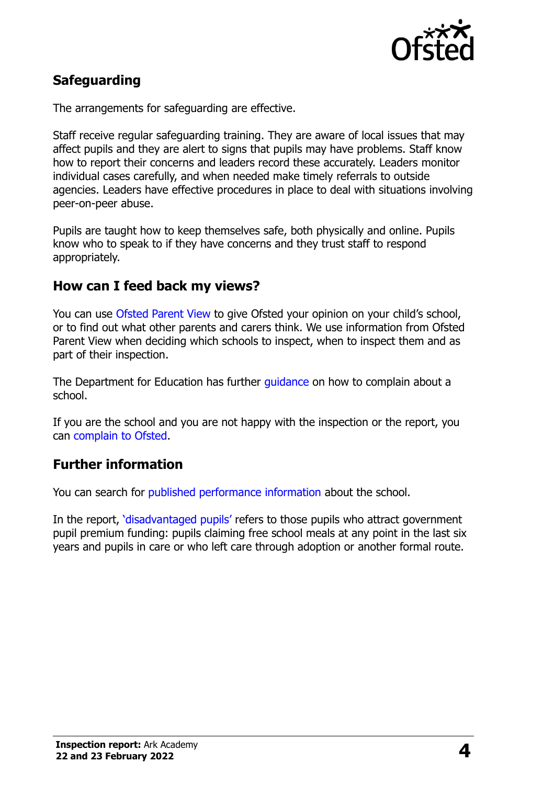

# **Safeguarding**

The arrangements for safeguarding are effective.

Staff receive regular safeguarding training. They are aware of local issues that may affect pupils and they are alert to signs that pupils may have problems. Staff know how to report their concerns and leaders record these accurately. Leaders monitor individual cases carefully, and when needed make timely referrals to outside agencies. Leaders have effective procedures in place to deal with situations involving peer-on-peer abuse.

Pupils are taught how to keep themselves safe, both physically and online. Pupils know who to speak to if they have concerns and they trust staff to respond appropriately.

#### **How can I feed back my views?**

You can use [Ofsted Parent View](http://parentview.ofsted.gov.uk/) to give Ofsted your opinion on your child's school, or to find out what other parents and carers think. We use information from Ofsted Parent View when deciding which schools to inspect, when to inspect them and as part of their inspection.

The Department for Education has further quidance on how to complain about a school.

If you are the school and you are not happy with the inspection or the report, you can [complain to Ofsted.](http://www.gov.uk/complain-ofsted-report)

### **Further information**

You can search for [published performance information](http://www.compare-school-performance.service.gov.uk/) about the school.

In the report, '[disadvantaged pupils](http://www.gov.uk/guidance/pupil-premium-information-for-schools-and-alternative-provision-settings)' refers to those pupils who attract government pupil premium funding: pupils claiming free school meals at any point in the last six years and pupils in care or who left care through adoption or another formal route.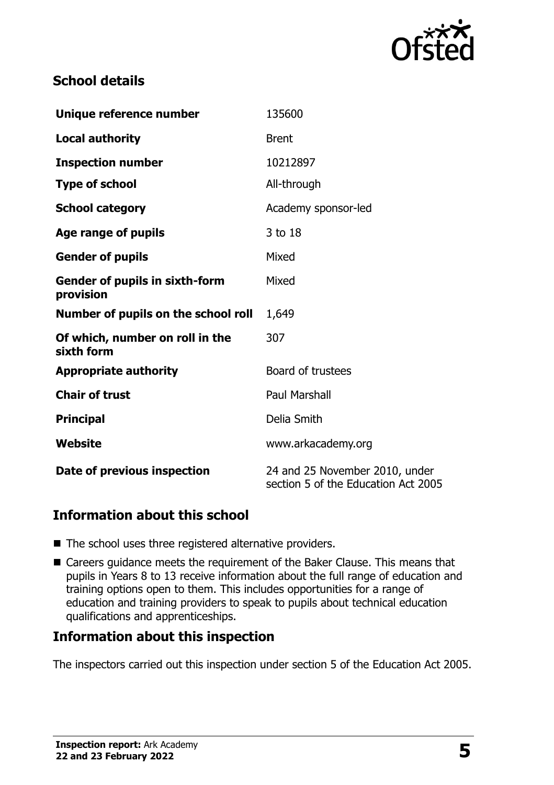

# **School details**

| Unique reference number                            | 135600                                                                |
|----------------------------------------------------|-----------------------------------------------------------------------|
| <b>Local authority</b>                             | <b>Brent</b>                                                          |
| <b>Inspection number</b>                           | 10212897                                                              |
| <b>Type of school</b>                              | All-through                                                           |
| <b>School category</b>                             | Academy sponsor-led                                                   |
| Age range of pupils                                | 3 to 18                                                               |
| <b>Gender of pupils</b>                            | Mixed                                                                 |
| <b>Gender of pupils in sixth-form</b><br>provision | Mixed                                                                 |
| Number of pupils on the school roll                | 1,649                                                                 |
| Of which, number on roll in the<br>sixth form      | 307                                                                   |
| <b>Appropriate authority</b>                       | Board of trustees                                                     |
| <b>Chair of trust</b>                              | <b>Paul Marshall</b>                                                  |
| <b>Principal</b>                                   | Delia Smith                                                           |
| Website                                            | www.arkacademy.org                                                    |
| Date of previous inspection                        | 24 and 25 November 2010, under<br>section 5 of the Education Act 2005 |

# **Information about this school**

- The school uses three registered alternative providers.
- Careers guidance meets the requirement of the Baker Clause. This means that pupils in Years 8 to 13 receive information about the full range of education and training options open to them. This includes opportunities for a range of education and training providers to speak to pupils about technical education qualifications and apprenticeships.

#### **Information about this inspection**

The inspectors carried out this inspection under section 5 of the Education Act 2005.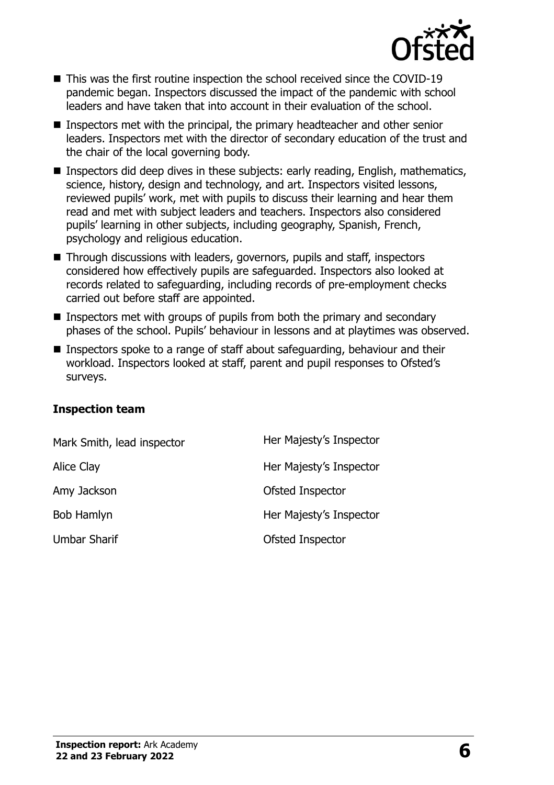

- This was the first routine inspection the school received since the COVID-19 pandemic began. Inspectors discussed the impact of the pandemic with school leaders and have taken that into account in their evaluation of the school.
- Inspectors met with the principal, the primary headteacher and other senior leaders. Inspectors met with the director of secondary education of the trust and the chair of the local governing body.
- **Inspectors did deep dives in these subjects: early reading, English, mathematics,** science, history, design and technology, and art. Inspectors visited lessons, reviewed pupils' work, met with pupils to discuss their learning and hear them read and met with subject leaders and teachers. Inspectors also considered pupils' learning in other subjects, including geography, Spanish, French, psychology and religious education.
- Through discussions with leaders, governors, pupils and staff, inspectors considered how effectively pupils are safeguarded. Inspectors also looked at records related to safeguarding, including records of pre-employment checks carried out before staff are appointed.
- Inspectors met with groups of pupils from both the primary and secondary phases of the school. Pupils' behaviour in lessons and at playtimes was observed.
- Inspectors spoke to a range of staff about safeguarding, behaviour and their workload. Inspectors looked at staff, parent and pupil responses to Ofsted's surveys.

#### **Inspection team**

| Mark Smith, lead inspector | Her Majesty's Inspector |
|----------------------------|-------------------------|
| Alice Clay                 | Her Majesty's Inspector |
| Amy Jackson                | Ofsted Inspector        |
| Bob Hamlyn                 | Her Majesty's Inspector |
| <b>Umbar Sharif</b>        | Ofsted Inspector        |